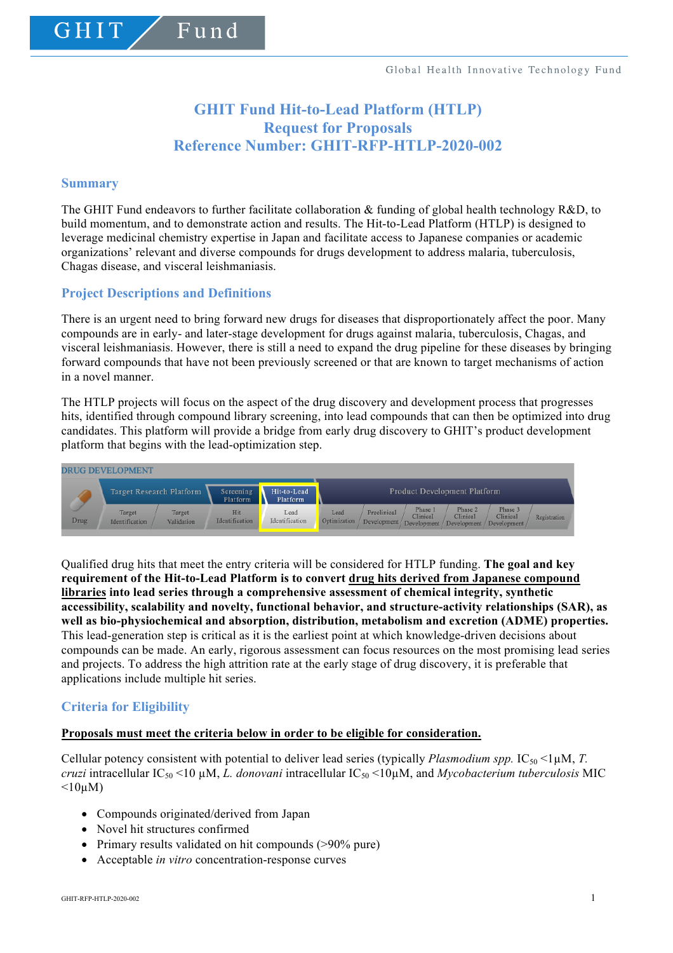# **GHIT Fund Hit-to-Lead Platform (HTLP) Request for Proposals Reference Number: GHIT-RFP-HTLP-2020-002**

### **Summary**

GHIT

The GHIT Fund endeavors to further facilitate collaboration & funding of global health technology R&D, to build momentum, and to demonstrate action and results. The Hit-to-Lead Platform (HTLP) is designed to leverage medicinal chemistry expertise in Japan and facilitate access to Japanese companies or academic organizations' relevant and diverse compounds for drugs development to address malaria, tuberculosis, Chagas disease, and visceral leishmaniasis.

# **Project Descriptions and Definitions**

Fund

There is an urgent need to bring forward new drugs for diseases that disproportionately affect the poor. Many compounds are in early- and later-stage development for drugs against malaria, tuberculosis, Chagas, and visceral leishmaniasis. However, there is still a need to expand the drug pipeline for these diseases by bringing forward compounds that have not been previously screened or that are known to target mechanisms of action in a novel manner.

The HTLP projects will focus on the aspect of the drug discovery and development process that progresses hits, identified through compound library screening, into lead compounds that can then be optimized into drug candidates. This platform will provide a bridge from early drug discovery to GHIT's product development platform that begins with the lead-optimization step.



Qualified drug hits that meet the entry criteria will be considered for HTLP funding. **The goal and key requirement of the Hit-to-Lead Platform is to convert drug hits derived from Japanese compound libraries into lead series through a comprehensive assessment of chemical integrity, synthetic accessibility, scalability and novelty, functional behavior, and structure-activity relationships (SAR), as well as bio-physiochemical and absorption, distribution, metabolism and excretion (ADME) properties.** This lead-generation step is critical as it is the earliest point at which knowledge-driven decisions about compounds can be made. An early, rigorous assessment can focus resources on the most promising lead series and projects. To address the high attrition rate at the early stage of drug discovery, it is preferable that applications include multiple hit series.

# **Criteria for Eligibility**

#### **Proposals must meet the criteria below in order to be eligible for consideration.**

Cellular potency consistent with potential to deliver lead series (typically *Plasmodium spp.*  $IC_{50}$  <1 $\mu$ M, *T. cruzi* intracellular IC50 <10 µM, *L. donovani* intracellular IC50 <10µM, and *Mycobacterium tuberculosis* MIC  $\leq 10 \mu M$ )

- Compounds originated/derived from Japan
- Novel hit structures confirmed
- Primary results validated on hit compounds (>90% pure)
- Acceptable *in vitro* concentration-response curves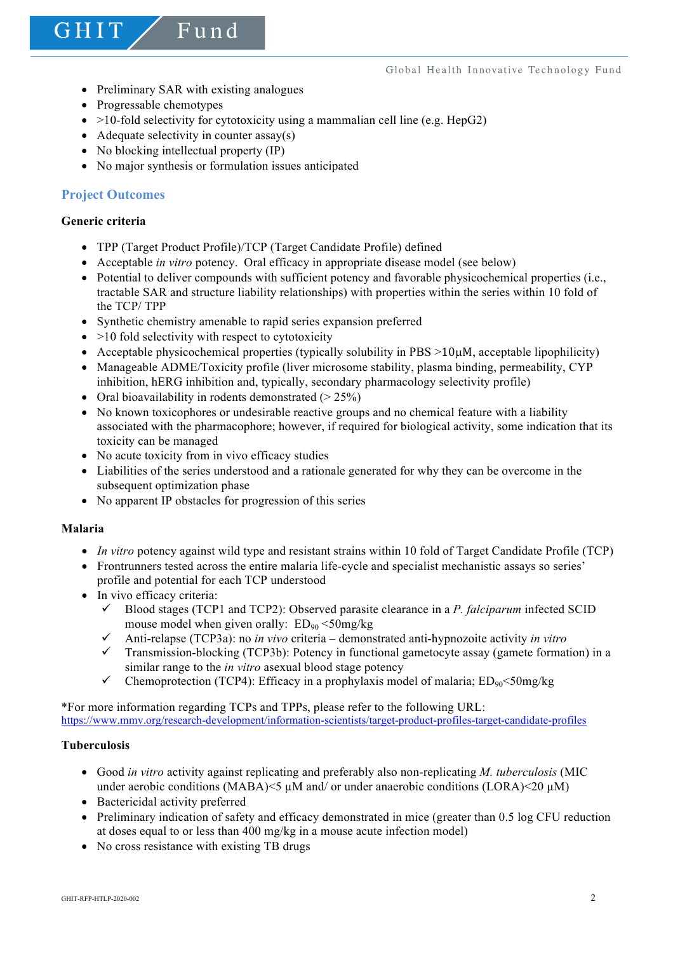• Preliminary SAR with existing analogues

Fund

- Progressable chemotypes
- $>10$ -fold selectivity for cytotoxicity using a mammalian cell line (e.g. HepG2)
- Adequate selectivity in counter  $assay(s)$
- No blocking intellectual property (IP)
- No major synthesis or formulation issues anticipated

# **Project Outcomes**

# **Generic criteria**

GHIT

- TPP (Target Product Profile)/TCP (Target Candidate Profile) defined
- Acceptable *in vitro* potency. Oral efficacy in appropriate disease model (see below)
- Potential to deliver compounds with sufficient potency and favorable physicochemical properties (i.e., tractable SAR and structure liability relationships) with properties within the series within 10 fold of the TCP/ TPP
- Synthetic chemistry amenable to rapid series expansion preferred
- $\bullet$  >10 fold selectivity with respect to cytotoxicity
- Acceptable physicochemical properties (typically solubility in  $PBS >10\mu$ M, acceptable lipophilicity)
- Manageable ADME/Toxicity profile (liver microsome stability, plasma binding, permeability, CYP inhibition, hERG inhibition and, typically, secondary pharmacology selectivity profile)
- Oral bioavailability in rodents demonstrated  $(> 25\%)$
- No known toxicophores or undesirable reactive groups and no chemical feature with a liability associated with the pharmacophore; however, if required for biological activity, some indication that its toxicity can be managed
- No acute toxicity from in vivo efficacy studies
- Liabilities of the series understood and a rationale generated for why they can be overcome in the subsequent optimization phase
- No apparent IP obstacles for progression of this series

# **Malaria**

- *In vitro* potency against wild type and resistant strains within 10 fold of Target Candidate Profile (TCP)
- Frontrunners tested across the entire malaria life-cycle and specialist mechanistic assays so series' profile and potential for each TCP understood
- In vivo efficacy criteria:
	- $\checkmark$  Blood stages (TCP1 and TCP2): Observed parasite clearance in a *P. falciparum* infected SCID mouse model when given orally:  $ED_{90} < 50$ mg/kg
	- $\checkmark$  Anti-relapse (TCP3a): no *in vivo* criteria demonstrated anti-hypnozoite activity *in vitro*
	- $\checkmark$  Transmission-blocking (TCP3b): Potency in functional gametocyte assay (gamete formation) in a similar range to the *in vitro* asexual blood stage potency
	- $\checkmark$  Chemoprotection (TCP4): Efficacy in a prophylaxis model of malaria; ED<sub>90</sub><50mg/kg

\*For more information regarding TCPs and TPPs, please refer to the following URL: https://www.mmv.org/research-development/information-scientists/target-product-profiles-target-candidate-profiles

# **Tuberculosis**

- Good *in vitro* activity against replicating and preferably also non-replicating *M. tuberculosis* (MIC under aerobic conditions (MABA) $\leq$   $\mu$ M and/ or under anaerobic conditions (LORA) $\leq$ 20  $\mu$ M)
- Bactericidal activity preferred
- Preliminary indication of safety and efficacy demonstrated in mice (greater than 0.5 log CFU reduction at doses equal to or less than 400 mg/kg in a mouse acute infection model)
- No cross resistance with existing TB drugs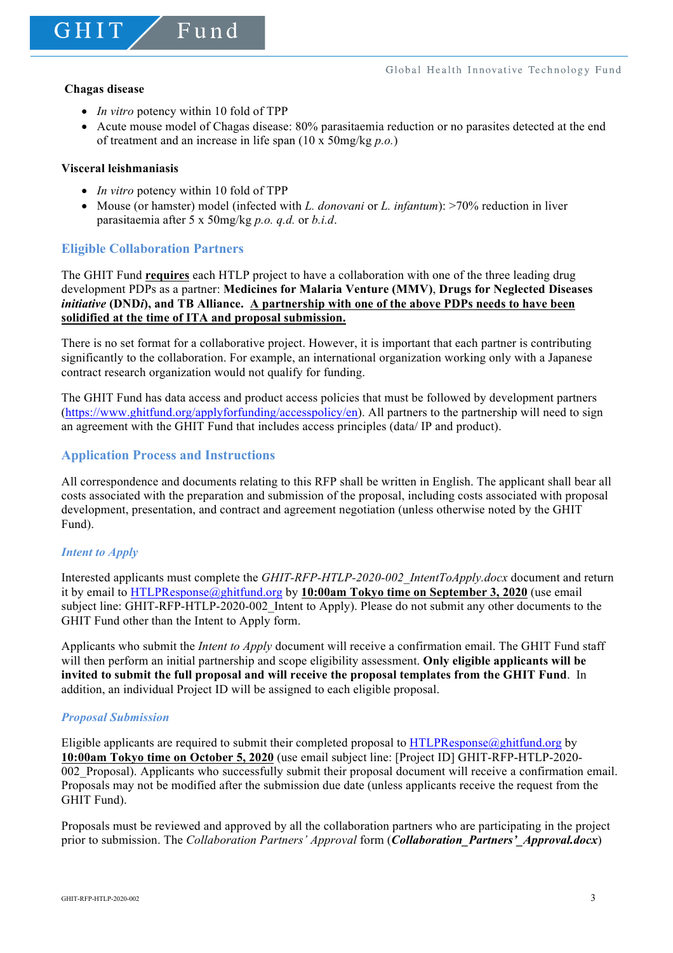GHIT

• *In vitro* potency within 10 fold of TPP

 $F$ und

• Acute mouse model of Chagas disease: 80% parasitaemia reduction or no parasites detected at the end of treatment and an increase in life span (10 x 50mg/kg *p.o.*)

#### **Visceral leishmaniasis**

- *In vitro* potency within 10 fold of TPP
- Mouse (or hamster) model (infected with *L. donovani* or *L. infantum*): >70% reduction in liver parasitaemia after 5 x 50mg/kg *p.o. q.d.* or *b.i.d*.

# **Eligible Collaboration Partners**

The GHIT Fund **requires** each HTLP project to have a collaboration with one of the three leading drug development PDPs as a partner: **Medicines for Malaria Venture (MMV)**, **Drugs for Neglected Diseases**  *initiative* **(DND***i***), and TB Alliance. A partnership with one of the above PDPs needs to have been solidified at the time of ITA and proposal submission.**

There is no set format for a collaborative project. However, it is important that each partner is contributing significantly to the collaboration. For example, an international organization working only with a Japanese contract research organization would not qualify for funding.

The GHIT Fund has data access and product access policies that must be followed by development partners (https://www.ghitfund.org/applyforfunding/accesspolicy/en). All partners to the partnership will need to sign an agreement with the GHIT Fund that includes access principles (data/ IP and product).

# **Application Process and Instructions**

All correspondence and documents relating to this RFP shall be written in English. The applicant shall bear all costs associated with the preparation and submission of the proposal, including costs associated with proposal development, presentation, and contract and agreement negotiation (unless otherwise noted by the GHIT Fund).

# *Intent to Apply*

Interested applicants must complete the *GHIT-RFP-HTLP-2020-002\_IntentToApply.docx* document and return it by email to HTLPResponse@ghitfund.org by **10:00am Tokyo time on September 3, 2020** (use email subject line: GHIT-RFP-HTLP-2020-002\_Intent to Apply). Please do not submit any other documents to the GHIT Fund other than the Intent to Apply form.

Applicants who submit the *Intent to Apply* document will receive a confirmation email. The GHIT Fund staff will then perform an initial partnership and scope eligibility assessment. **Only eligible applicants will be invited to submit the full proposal and will receive the proposal templates from the GHIT Fund**. In addition, an individual Project ID will be assigned to each eligible proposal.

#### *Proposal Submission*

Eligible applicants are required to submit their completed proposal to HTLPResponse@ghitfund.org by **10:00am Tokyo time on October 5, 2020** (use email subject line: [Project ID] GHIT-RFP-HTLP-2020- 002\_Proposal). Applicants who successfully submit their proposal document will receive a confirmation email. Proposals may not be modified after the submission due date (unless applicants receive the request from the GHIT Fund).

Proposals must be reviewed and approved by all the collaboration partners who are participating in the project prior to submission. The *Collaboration Partners' Approval* form (*Collaboration\_Partners'\_Approval.docx*)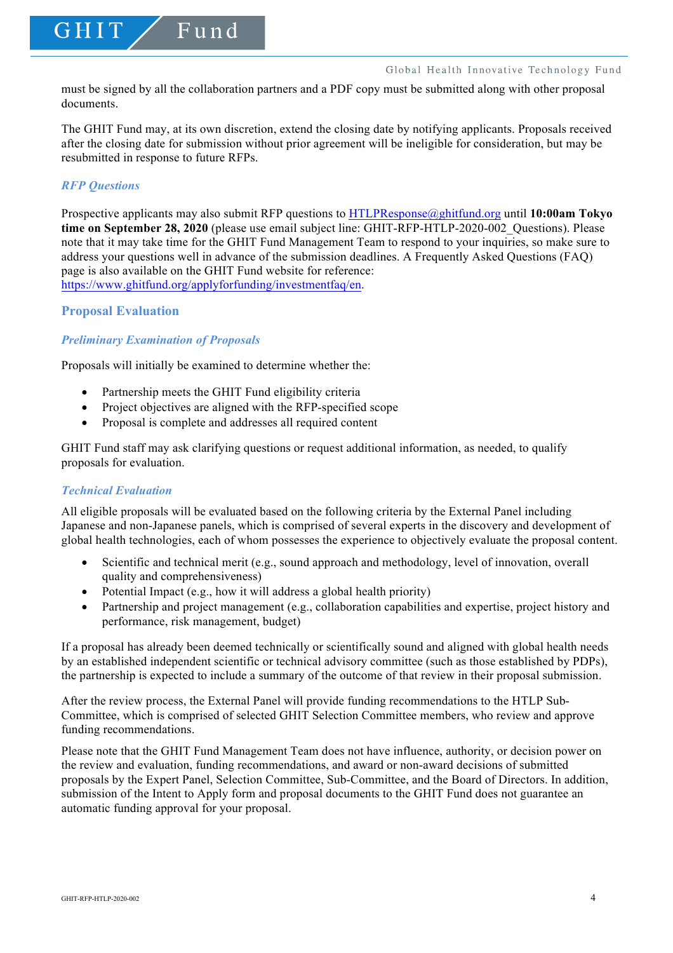must be signed by all the collaboration partners and a PDF copy must be submitted along with other proposal documents.

The GHIT Fund may, at its own discretion, extend the closing date by notifying applicants. Proposals received after the closing date for submission without prior agreement will be ineligible for consideration, but may be resubmitted in response to future RFPs.

#### *RFP Questions*

GHIT

Prospective applicants may also submit RFP questions to HTLPResponse@ghitfund.org until **10:00am Tokyo time on September 28, 2020** (please use email subject line: GHIT-RFP-HTLP-2020-002\_Questions). Please note that it may take time for the GHIT Fund Management Team to respond to your inquiries, so make sure to address your questions well in advance of the submission deadlines. A Frequently Asked Questions (FAQ) page is also available on the GHIT Fund website for reference: https://www.ghitfund.org/applyforfunding/investmentfaq/en.

#### **Proposal Evaluation**

# *Preliminary Examination of Proposals*

Proposals will initially be examined to determine whether the:

Fund

- Partnership meets the GHIT Fund eligibility criteria
- Project objectives are aligned with the RFP-specified scope
- Proposal is complete and addresses all required content

GHIT Fund staff may ask clarifying questions or request additional information, as needed, to qualify proposals for evaluation.

### *Technical Evaluation*

All eligible proposals will be evaluated based on the following criteria by the External Panel including Japanese and non-Japanese panels, which is comprised of several experts in the discovery and development of global health technologies, each of whom possesses the experience to objectively evaluate the proposal content.

- Scientific and technical merit (e.g., sound approach and methodology, level of innovation, overall quality and comprehensiveness)
- Potential Impact (e.g., how it will address a global health priority)
- Partnership and project management (e.g., collaboration capabilities and expertise, project history and performance, risk management, budget)

If a proposal has already been deemed technically or scientifically sound and aligned with global health needs by an established independent scientific or technical advisory committee (such as those established by PDPs), the partnership is expected to include a summary of the outcome of that review in their proposal submission.

After the review process, the External Panel will provide funding recommendations to the HTLP Sub-Committee, which is comprised of selected GHIT Selection Committee members, who review and approve funding recommendations.

Please note that the GHIT Fund Management Team does not have influence, authority, or decision power on the review and evaluation, funding recommendations, and award or non-award decisions of submitted proposals by the Expert Panel, Selection Committee, Sub-Committee, and the Board of Directors. In addition, submission of the Intent to Apply form and proposal documents to the GHIT Fund does not guarantee an automatic funding approval for your proposal.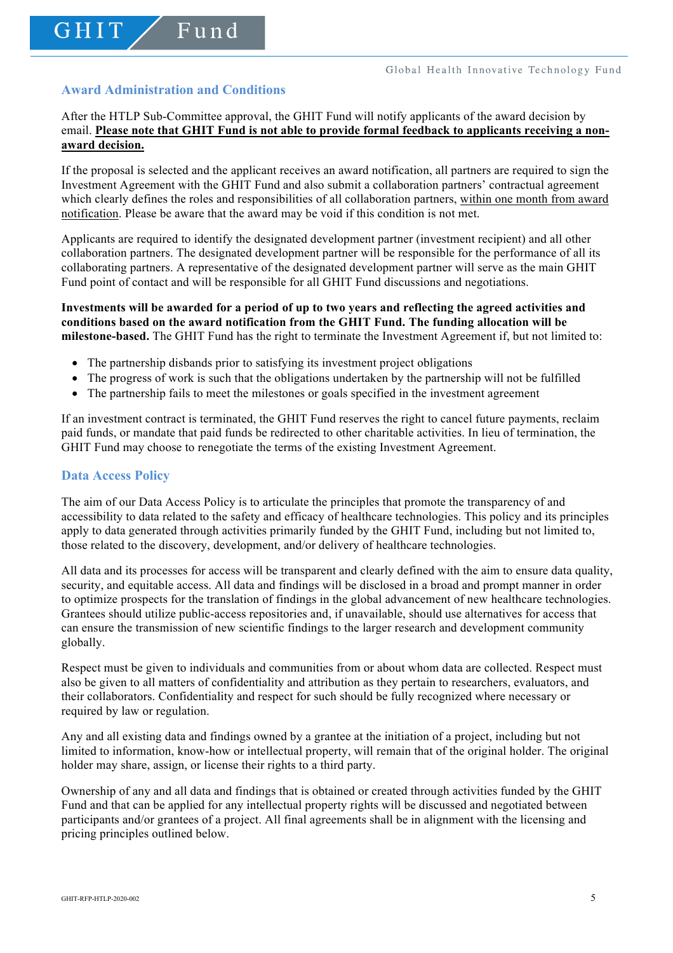# **Award Administration and Conditions**

GHIT

Fund

After the HTLP Sub-Committee approval, the GHIT Fund will notify applicants of the award decision by email. **Please note that GHIT Fund is not able to provide formal feedback to applicants receiving a nonaward decision.**

If the proposal is selected and the applicant receives an award notification, all partners are required to sign the Investment Agreement with the GHIT Fund and also submit a collaboration partners' contractual agreement which clearly defines the roles and responsibilities of all collaboration partners, within one month from award notification. Please be aware that the award may be void if this condition is not met.

Applicants are required to identify the designated development partner (investment recipient) and all other collaboration partners. The designated development partner will be responsible for the performance of all its collaborating partners. A representative of the designated development partner will serve as the main GHIT Fund point of contact and will be responsible for all GHIT Fund discussions and negotiations.

### **Investments will be awarded for a period of up to two years and reflecting the agreed activities and conditions based on the award notification from the GHIT Fund. The funding allocation will be milestone-based.** The GHIT Fund has the right to terminate the Investment Agreement if, but not limited to:

- The partnership disbands prior to satisfying its investment project obligations
- The progress of work is such that the obligations undertaken by the partnership will not be fulfilled
- The partnership fails to meet the milestones or goals specified in the investment agreement

If an investment contract is terminated, the GHIT Fund reserves the right to cancel future payments, reclaim paid funds, or mandate that paid funds be redirected to other charitable activities. In lieu of termination, the GHIT Fund may choose to renegotiate the terms of the existing Investment Agreement.

### **Data Access Policy**

The aim of our Data Access Policy is to articulate the principles that promote the transparency of and accessibility to data related to the safety and efficacy of healthcare technologies. This policy and its principles apply to data generated through activities primarily funded by the GHIT Fund, including but not limited to, those related to the discovery, development, and/or delivery of healthcare technologies.

All data and its processes for access will be transparent and clearly defined with the aim to ensure data quality, security, and equitable access. All data and findings will be disclosed in a broad and prompt manner in order to optimize prospects for the translation of findings in the global advancement of new healthcare technologies. Grantees should utilize public-access repositories and, if unavailable, should use alternatives for access that can ensure the transmission of new scientific findings to the larger research and development community globally.

Respect must be given to individuals and communities from or about whom data are collected. Respect must also be given to all matters of confidentiality and attribution as they pertain to researchers, evaluators, and their collaborators. Confidentiality and respect for such should be fully recognized where necessary or required by law or regulation.

Any and all existing data and findings owned by a grantee at the initiation of a project, including but not limited to information, know-how or intellectual property, will remain that of the original holder. The original holder may share, assign, or license their rights to a third party.

Ownership of any and all data and findings that is obtained or created through activities funded by the GHIT Fund and that can be applied for any intellectual property rights will be discussed and negotiated between participants and/or grantees of a project. All final agreements shall be in alignment with the licensing and pricing principles outlined below.